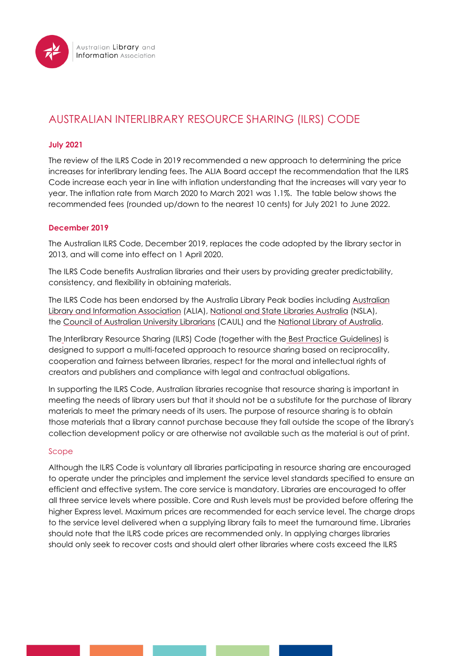

# AUSTRALIAN INTERLIBRARY RESOURCE SHARING (ILRS) CODE

# **July 2021**

The review of the ILRS Code in 2019 recommended a new approach to determining the price increases for interlibrary lending fees. The ALIA Board accept the recommendation that the ILRS Code increase each year in line with inflation understanding that the increases will vary year to year. The inflation rate from March 2020 to March 2021 was 1.1%. The table below shows the recommended fees (rounded up/down to the nearest 10 cents) for July 2021 to June 2022.

# **December 2019**

The Australian ILRS Code, December 2019, replaces the code adopted by the library sector in 2013, and will come into effect on 1 April 2020.

The ILRS Code benefits Australian libraries and their users by providing greater predictability, consistency, and flexibility in obtaining materials.

The ILRS Code has been endorsed by the Australia Library Peak bodies including Australian [Library and Information Association](http://www.alia.org.au/) (ALIA), [National and State Libraries Australia](http://www.nsla.org.au/) (NSLA), the [Council of Australian University Librarians](http://www.caul.edu.au/) (CAUL) and the [National Library of Australia.](http://www.nla.gov.au/)

Th[e](https://www.alia.org.au/resources-and-information/interlibrary-lending/australian-interlibrary-resource-sharing-ilrs-code) Interlibrary Resource Sharing (ILRS) Code (together with the [Best Practice Guidelines\)](https://www.alia.org.au/interlibrary-resource-sharing-best-practice-guidelines) is designed to support a multi-faceted approach to resource sharing based on reciprocality, cooperation and fairness between libraries, respect for the moral and intellectual rights of creators and publishers and compliance with legal and contractual obligations.

In supporting the ILRS Code, Australian libraries recognise that resource sharing is important in meeting the needs of library users but that it should not be a substitute for the purchase of library materials to meet the primary needs of its users. The purpose of resource sharing is to obtain those materials that a library cannot purchase because they fall outside the scope of the library's collection development policy or are otherwise not available such as the material is out of print.

# Scope

Although the ILRS Code is voluntary all libraries participating in resource sharing are encouraged to operate under the principles and implement the service level standards specified to ensure an efficient and effective system. The core service is mandatory. Libraries are encouraged to offer all three service levels where possible. Core and Rush levels must be provided before offering the higher Express level. Maximum prices are recommended for each service level. The charge drops to the service level delivered when a supplying library fails to meet the turnaround time. Libraries should note that the ILRS code prices are recommended only. In applying charges libraries should only seek to recover costs and should alert other libraries where costs exceed the ILRS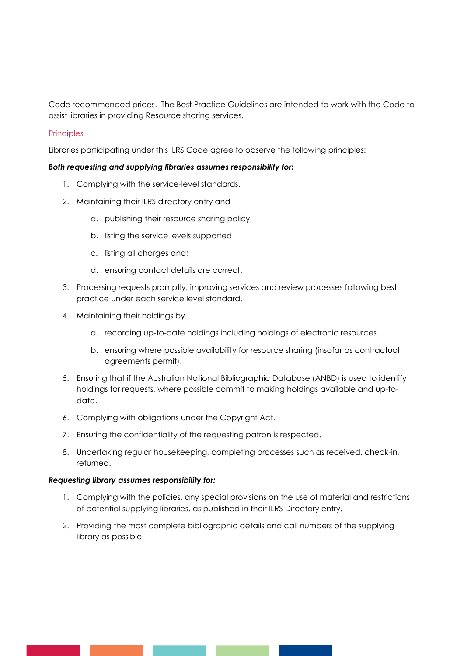Code recommended prices. The Best Practice Guidelines are intended to work with the Code to assist libraries in providing Resource sharing services.

## **Principles**

Libraries participating under this ILRS Code agree to observe the following principles:

## *Both requesting and supplying libraries assumes responsibility for:*

- 1. Complying with the service-level standards.
- 2. Maintaining their ILRS directory entry and
	- a. publishing their resource sharing policy
	- b. listing the service levels supported
	- c. listing all charges and;
	- d. ensuring contact details are correct.
- 3. Processing requests promptly, improving services and review processes following best practice under each service level standard.
- 4. Maintaining their holdings by
	- a. recording up-to-date holdings including holdings of electronic resources
	- b. ensuring where possible availability for resource sharing (insofar as contractual agreements permit).
- 5. Ensuring that if the Australian National Bibliographic Database (ANBD) is used to identify holdings for requests, where possible commit to making holdings available and up-todate.
- 6. Complying with obligations under the Copyright Act.
- 7. Ensuring the confidentiality of the requesting patron is respected.
- 8. Undertaking regular housekeeping, completing processes such as received, check-in, returned.

#### *Requesting library assumes responsibility for:*

- 1. Complying with the policies, any special provisions on the use of material and restrictions of potential supplying libraries, as published in their ILRS Directory entry.
- 2. Providing the most complete bibliographic details and call numbers of the supplying library as possible.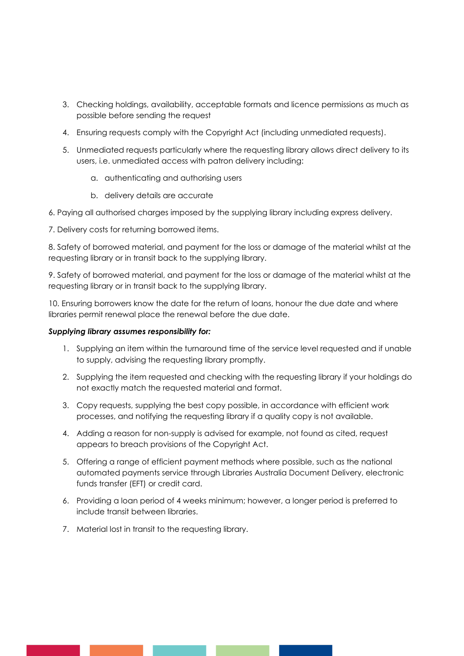- 3. Checking holdings, availability, acceptable formats and licence permissions as much as possible before sending the request
- 4. Ensuring requests comply with the Copyright Act (including unmediated requests).
- 5. Unmediated requests particularly where the requesting library allows direct delivery to its users, i.e. unmediated access with patron delivery including:
	- a. authenticating and authorising users
	- b. delivery details are accurate
- 6. Paying all authorised charges imposed by the supplying library including express delivery.
- 7. Delivery costs for returning borrowed items.

8. Safety of borrowed material, and payment for the loss or damage of the material whilst at the requesting library or in transit back to the supplying library.

9. Safety of borrowed material, and payment for the loss or damage of the material whilst at the requesting library or in transit back to the supplying library.

10. Ensuring borrowers know the date for the return of loans, honour the due date and where libraries permit renewal place the renewal before the due date.

## *Supplying library assumes responsibility for:*

- 1. Supplying an item within the turnaround time of the service level requested and if unable to supply, advising the requesting library promptly.
- 2. Supplying the item requested and checking with the requesting library if your holdings do not exactly match the requested material and format.
- 3. Copy requests, supplying the best copy possible, in accordance with efficient work processes, and notifying the requesting library if a quality copy is not available.
- 4. Adding a reason for non-supply is advised for example, not found as cited, request appears to breach provisions of the Copyright Act.
- 5. Offering a range of efficient payment methods where possible, such as the national automated payments service through Libraries Australia Document Delivery, electronic funds transfer (EFT) or credit card.
- 6. Providing a loan period of 4 weeks minimum; however, a longer period is preferred to include transit between libraries.
- 7. Material lost in transit to the requesting library.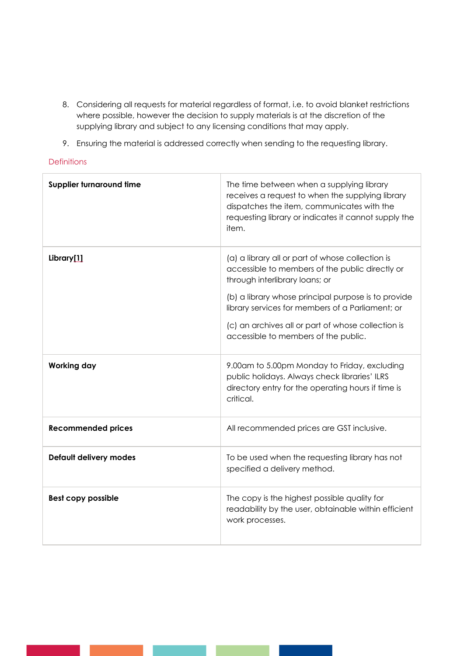- 8. Considering all requests for material regardless of format, i.e. to avoid blanket restrictions where possible, however the decision to supply materials is at the discretion of the supplying library and subject to any licensing conditions that may apply.
- 9. Ensuring the material is addressed correctly when sending to the requesting library.

# **Definitions**

| Supplier turnaround time  | The time between when a supplying library<br>receives a request to when the supplying library<br>dispatches the item, communicates with the<br>requesting library or indicates it cannot supply the<br>item.                                                                                                                                   |
|---------------------------|------------------------------------------------------------------------------------------------------------------------------------------------------------------------------------------------------------------------------------------------------------------------------------------------------------------------------------------------|
| Library[1]                | (a) a library all or part of whose collection is<br>accessible to members of the public directly or<br>through interlibrary loans; or<br>(b) a library whose principal purpose is to provide<br>library services for members of a Parliament; or<br>(c) an archives all or part of whose collection is<br>accessible to members of the public. |
| <b>Working day</b>        | 9.00am to 5.00pm Monday to Friday, excluding<br>public holidays. Always check libraries' ILRS<br>directory entry for the operating hours if time is<br>critical.                                                                                                                                                                               |
| <b>Recommended prices</b> | All recommended prices are GST inclusive.                                                                                                                                                                                                                                                                                                      |
| Default delivery modes    | To be used when the requesting library has not<br>specified a delivery method.                                                                                                                                                                                                                                                                 |
| <b>Best copy possible</b> | The copy is the highest possible quality for<br>readability by the user, obtainable within efficient<br>work processes.                                                                                                                                                                                                                        |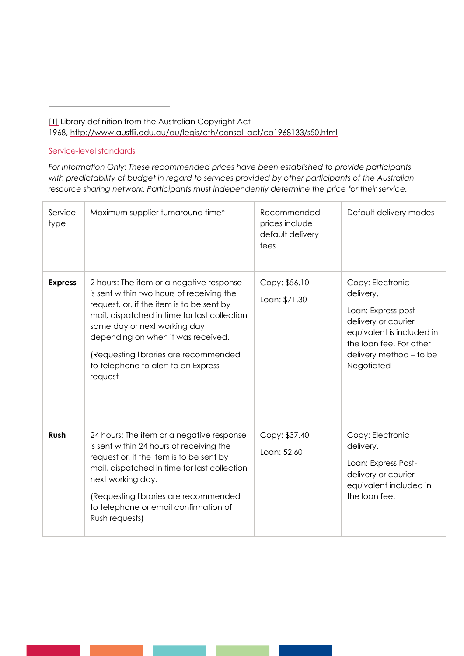[1] Library definition from the Australian Copyright Act 1968, http://www.austlii.edu.au/au/legis/cth/consol\_act/ca1968133/s50.html

## Service-level standards

*For Information Only: These recommended prices have been established to provide participants with predictability of budget in regard to services provided by other participants of the Australian resource sharing network. Participants must independently determine the price for their service.*

| Service<br>type | Maximum supplier turnaround time*                                                                                                                                                                                                                                                                                                                   | Recommended<br>prices include<br>default delivery<br>fees | Default delivery modes                                                                                                                                                       |
|-----------------|-----------------------------------------------------------------------------------------------------------------------------------------------------------------------------------------------------------------------------------------------------------------------------------------------------------------------------------------------------|-----------------------------------------------------------|------------------------------------------------------------------------------------------------------------------------------------------------------------------------------|
| <b>Express</b>  | 2 hours: The item or a negative response<br>is sent within two hours of receiving the<br>request, or, if the item is to be sent by<br>mail, dispatched in time for last collection<br>same day or next working day<br>depending on when it was received.<br>(Requesting libraries are recommended<br>to telephone to alert to an Express<br>request | Copy: \$56.10<br>Loan: \$71.30                            | Copy: Electronic<br>delivery.<br>Loan: Express post-<br>delivery or courier<br>equivalent is included in<br>the loan fee. For other<br>delivery method - to be<br>Negotiated |
| Rush            | 24 hours: The item or a negative response<br>is sent within 24 hours of receiving the<br>request or, if the item is to be sent by<br>mail, dispatched in time for last collection<br>next working day.<br>(Requesting libraries are recommended<br>to telephone or email confirmation of<br>Rush requests)                                          | Copy: \$37.40<br>Loan: 52.60                              | Copy: Electronic<br>delivery.<br>Loan: Express Post-<br>delivery or courier<br>equivalent included in<br>the loan fee.                                                       |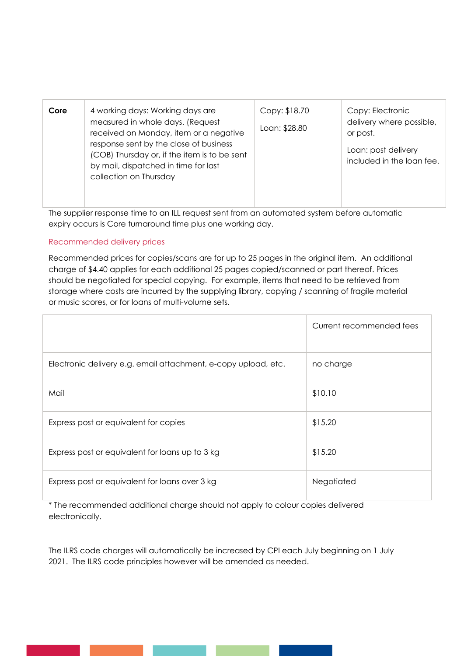| Core | 4 working days: Working days are<br>measured in whole days. (Request<br>received on Monday, item or a negative<br>response sent by the close of business<br>(COB) Thursday or, if the item is to be sent<br>by mail, dispatched in time for last<br>collection on Thursday | Copy: \$18.70<br>Loan: \$28.80 | Copy: Electronic<br>delivery where possible,<br>or post.<br>Loan: post delivery<br>included in the loan fee. |
|------|----------------------------------------------------------------------------------------------------------------------------------------------------------------------------------------------------------------------------------------------------------------------------|--------------------------------|--------------------------------------------------------------------------------------------------------------|
|      |                                                                                                                                                                                                                                                                            |                                |                                                                                                              |

The supplier response time to an ILL request sent from an automated system before automatic expiry occurs is Core turnaround time plus one working day.

# Recommended delivery prices

Recommended prices for copies/scans are for up to 25 pages in the original item. An additional charge of \$4.40 applies for each additional 25 pages copied/scanned or part thereof. Prices should be negotiated for special copying. For example, items that need to be retrieved from storage where costs are incurred by the supplying library, copying / scanning of fragile material or music scores, or for loans of multi-volume sets.

|                                                                | Current recommended fees |
|----------------------------------------------------------------|--------------------------|
| Electronic delivery e.g. email attachment, e-copy upload, etc. | no charge                |
| Mail                                                           | \$10.10                  |
| Express post or equivalent for copies                          | \$15.20                  |
| Express post or equivalent for loans up to 3 kg                | \$15.20                  |
| Express post or equivalent for loans over 3 kg                 | Negotiated               |

\* The recommended additional charge should not apply to colour copies delivered electronically.

The ILRS code charges will automatically be increased by CPI each July beginning on 1 July 2021. The ILRS code principles however will be amended as needed.